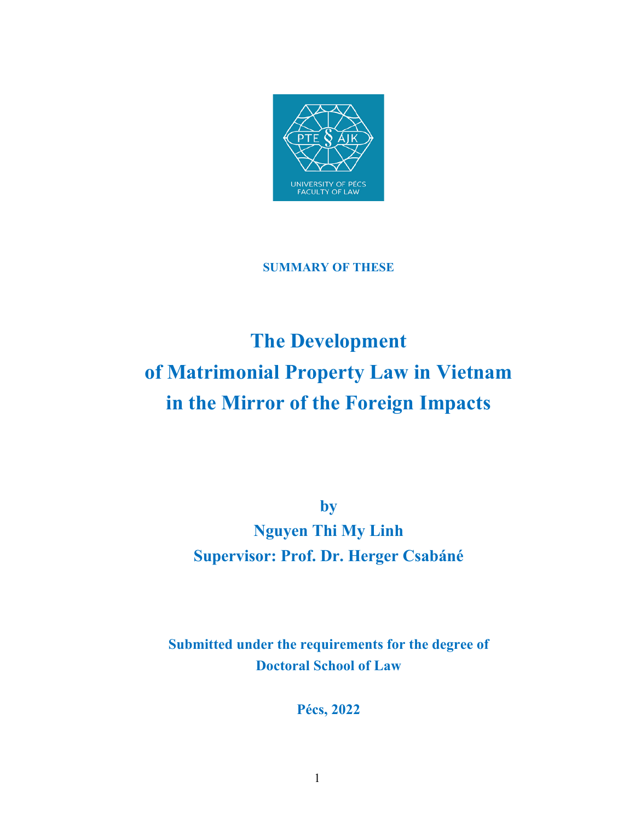

## **SUMMARY OF THESE**

# **The Development of Matrimonial Property Law in Vietnam in the Mirror of the Foreign Impacts**

**by Nguyen Thi My Linh Supervisor: Prof. Dr. Herger Csabáné**

**Submitted under the requirements for the degree of Doctoral School of Law**

**Pécs, 2022**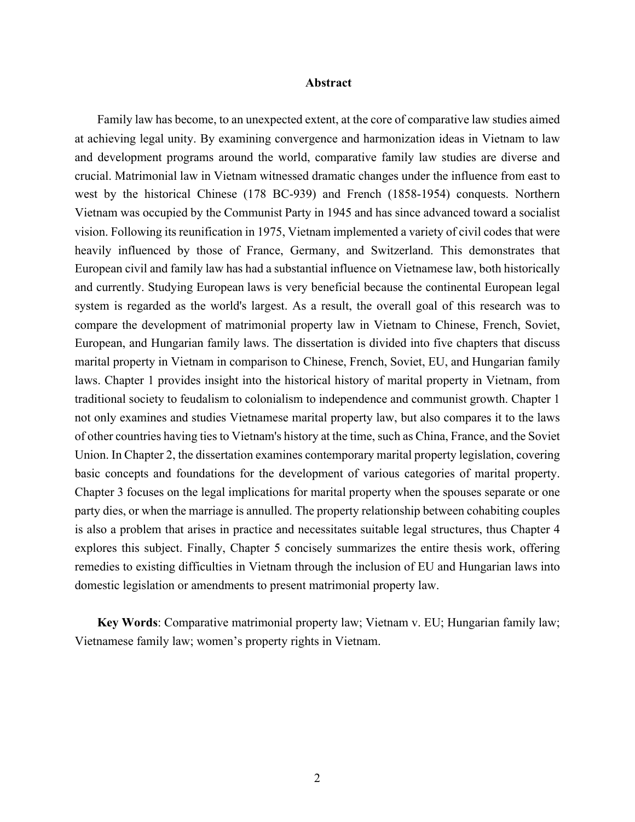#### **Abstract**

Family law has become, to an unexpected extent, at the core of comparative law studies aimed at achieving legal unity. By examining convergence and harmonization ideas in Vietnam to law and development programs around the world, comparative family law studies are diverse and crucial. Matrimonial law in Vietnam witnessed dramatic changes under the influence from east to west by the historical Chinese (178 BC-939) and French (1858-1954) conquests. Northern Vietnam was occupied by the Communist Party in 1945 and has since advanced toward a socialist vision. Following its reunification in 1975, Vietnam implemented a variety of civil codes that were heavily influenced by those of France, Germany, and Switzerland. This demonstrates that European civil and family law has had a substantial influence on Vietnamese law, both historically and currently. Studying European laws is very beneficial because the continental European legal system is regarded as the world's largest. As a result, the overall goal of this research was to compare the development of matrimonial property law in Vietnam to Chinese, French, Soviet, European, and Hungarian family laws. The dissertation is divided into five chapters that discuss marital property in Vietnam in comparison to Chinese, French, Soviet, EU, and Hungarian family laws. Chapter 1 provides insight into the historical history of marital property in Vietnam, from traditional society to feudalism to colonialism to independence and communist growth. Chapter 1 not only examines and studies Vietnamese marital property law, but also compares it to the laws of other countries having ties to Vietnam's history at the time, such as China, France, and the Soviet Union. In Chapter 2, the dissertation examines contemporary marital property legislation, covering basic concepts and foundations for the development of various categories of marital property. Chapter 3 focuses on the legal implications for marital property when the spouses separate or one party dies, or when the marriage is annulled. The property relationship between cohabiting couples is also a problem that arises in practice and necessitates suitable legal structures, thus Chapter 4 explores this subject. Finally, Chapter 5 concisely summarizes the entire thesis work, offering remedies to existing difficulties in Vietnam through the inclusion of EU and Hungarian laws into domestic legislation or amendments to present matrimonial property law.

**Key Words**: Comparative matrimonial property law; Vietnam v. EU; Hungarian family law; Vietnamese family law; women's property rights in Vietnam.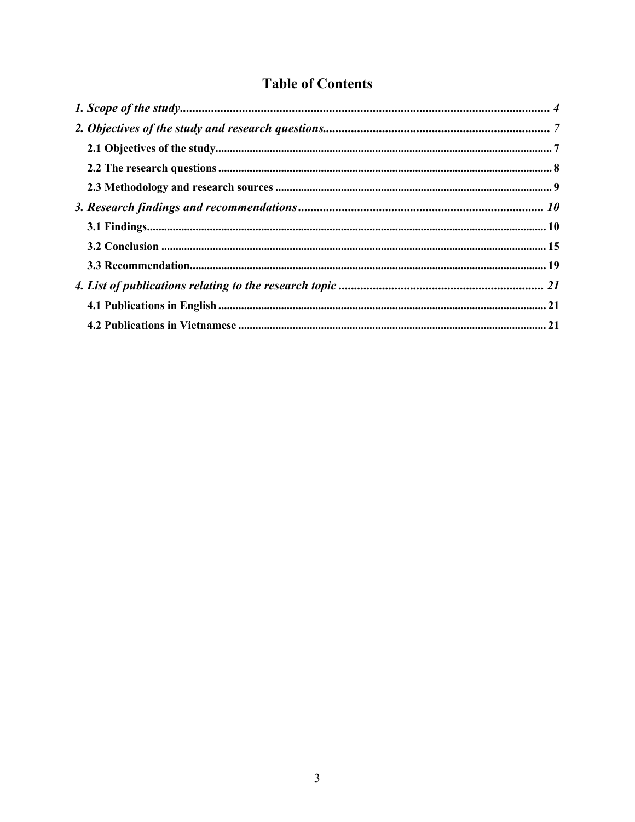## **Table of Contents**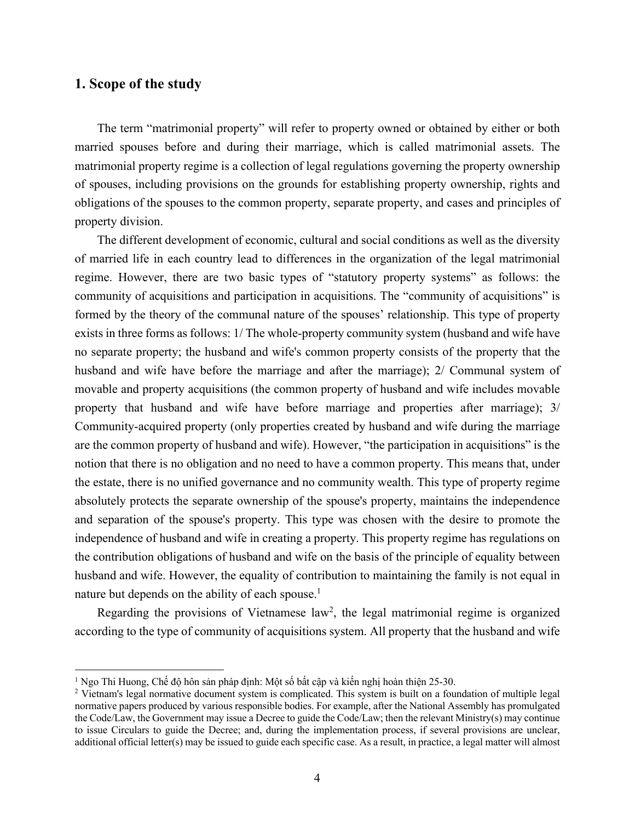#### **1. Scope of the study**

The term "matrimonial property" will refer to property owned or obtained by either or both married spouses before and during their marriage, which is called matrimonial assets. The matrimonial property regime is a collection of legal regulations governing the property ownership of spouses, including provisions on the grounds for establishing property ownership, rights and obligations of the spouses to the common property, separate property, and cases and principles of property division.

The different development of economic, cultural and social conditions as well as the diversity of married life in each country lead to differences in the organization of the legal matrimonial regime. However, there are two basic types of "statutory property systems" as follows: the community of acquisitions and participation in acquisitions. The "community of acquisitions" is formed by the theory of the communal nature of the spouses' relationship. This type of property exists in three forms as follows: 1/ The whole-property community system (husband and wife have no separate property; the husband and wife's common property consists of the property that the husband and wife have before the marriage and after the marriage); 2/ Communal system of movable and property acquisitions (the common property of husband and wife includes movable property that husband and wife have before marriage and properties after marriage); 3/ Community-acquired property (only properties created by husband and wife during the marriage are the common property of husband and wife). However, "the participation in acquisitions" is the notion that there is no obligation and no need to have a common property. This means that, under the estate, there is no unified governance and no community wealth. This type of property regime absolutely protects the separate ownership of the spouse's property, maintains the independence and separation of the spouse's property. This type was chosen with the desire to promote the independence of husband and wife in creating a property. This property regime has regulations on the contribution obligations of husband and wife on the basis of the principle of equality between husband and wife. However, the equality of contribution to maintaining the family is not equal in nature but depends on the ability of each spouse.<sup>1</sup>

Regarding the provisions of Vietnamese law<sup>2</sup>, the legal matrimonial regime is organized according to the type of community of acquisitions system. All property that the husband and wife

<sup>&</sup>lt;sup>1</sup> Ngo Thi Huong, Chế đô hôn sản pháp định: Một số bất cập và kiến nghị hoàn thiện 25-30.

<sup>&</sup>lt;sup>2</sup> Vietnam's legal normative document system is complicated. This system is built on a foundation of multiple legal normative papers produced by various responsible bodies. For example, after the National Assembly has promulgated the Code/Law, the Government may issue a Decree to guide the Code/Law; then the relevant Ministry(s) may continue to issue Circulars to guide the Decree; and, during the implementation process, if several provisions are unclear, additional official letter(s) may be issued to guide each specific case. As a result, in practice, a legal matter will almost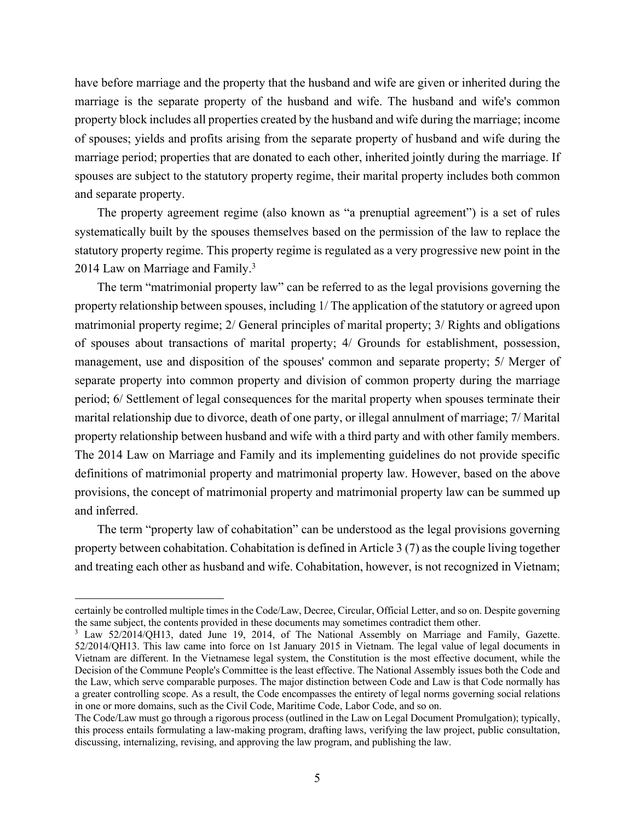have before marriage and the property that the husband and wife are given or inherited during the marriage is the separate property of the husband and wife. The husband and wife's common property block includes all properties created by the husband and wife during the marriage; income of spouses; yields and profits arising from the separate property of husband and wife during the marriage period; properties that are donated to each other, inherited jointly during the marriage. If spouses are subject to the statutory property regime, their marital property includes both common and separate property.

The property agreement regime (also known as "a prenuptial agreement") is a set of rules systematically built by the spouses themselves based on the permission of the law to replace the statutory property regime. This property regime is regulated as a very progressive new point in the 2014 Law on Marriage and Family.3

The term "matrimonial property law" can be referred to as the legal provisions governing the property relationship between spouses, including 1/ The application of the statutory or agreed upon matrimonial property regime; 2/ General principles of marital property; 3/ Rights and obligations of spouses about transactions of marital property; 4/ Grounds for establishment, possession, management, use and disposition of the spouses' common and separate property; 5/ Merger of separate property into common property and division of common property during the marriage period; 6/ Settlement of legal consequences for the marital property when spouses terminate their marital relationship due to divorce, death of one party, or illegal annulment of marriage; 7/ Marital property relationship between husband and wife with a third party and with other family members. The 2014 Law on Marriage and Family and its implementing guidelines do not provide specific definitions of matrimonial property and matrimonial property law. However, based on the above provisions, the concept of matrimonial property and matrimonial property law can be summed up and inferred.

The term "property law of cohabitation" can be understood as the legal provisions governing property between cohabitation. Cohabitation is defined in Article 3 (7) as the couple living together and treating each other as husband and wife. Cohabitation, however, is not recognized in Vietnam;

certainly be controlled multiple times in the Code/Law, Decree, Circular, Official Letter, and so on. Despite governing the same subject, the contents provided in these documents may sometimes contradict them other.

<sup>&</sup>lt;sup>3</sup> Law 52/2014/QH13, dated June 19, 2014, of The National Assembly on Marriage and Family, Gazette. 52/2014/QH13. This law came into force on 1st January 2015 in Vietnam. The legal value of legal documents in Vietnam are different. In the Vietnamese legal system, the Constitution is the most effective document, while the Decision of the Commune People's Committee is the least effective. The National Assembly issues both the Code and the Law, which serve comparable purposes. The major distinction between Code and Law is that Code normally has a greater controlling scope. As a result, the Code encompasses the entirety of legal norms governing social relations in one or more domains, such as the Civil Code, Maritime Code, Labor Code, and so on.

The Code/Law must go through a rigorous process (outlined in the Law on Legal Document Promulgation); typically, this process entails formulating a law-making program, drafting laws, verifying the law project, public consultation, discussing, internalizing, revising, and approving the law program, and publishing the law.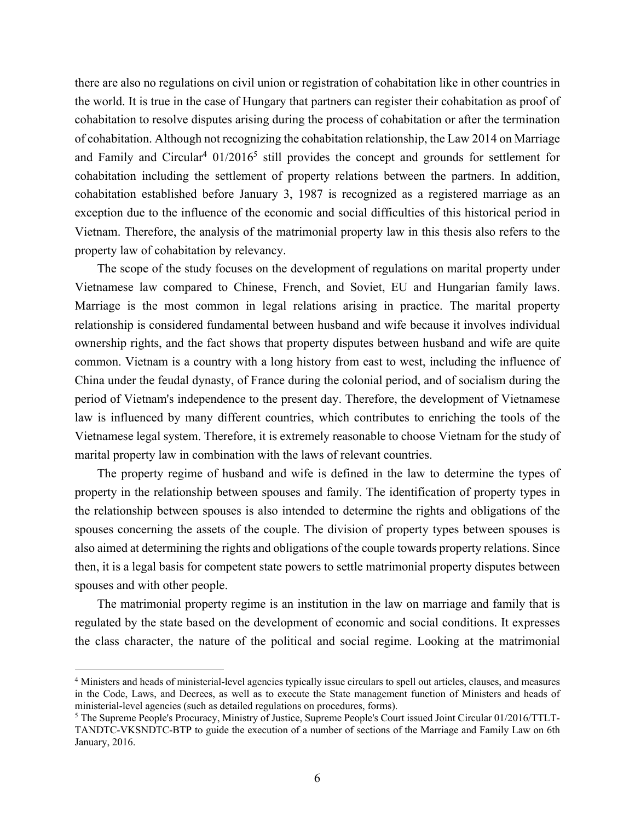there are also no regulations on civil union or registration of cohabitation like in other countries in the world. It is true in the case of Hungary that partners can register their cohabitation as proof of cohabitation to resolve disputes arising during the process of cohabitation or after the termination of cohabitation. Although not recognizing the cohabitation relationship, the Law 2014 on Marriage and Family and Circular<sup>4</sup>  $01/2016^5$  still provides the concept and grounds for settlement for cohabitation including the settlement of property relations between the partners. In addition, cohabitation established before January 3, 1987 is recognized as a registered marriage as an exception due to the influence of the economic and social difficulties of this historical period in Vietnam. Therefore, the analysis of the matrimonial property law in this thesis also refers to the property law of cohabitation by relevancy.

The scope of the study focuses on the development of regulations on marital property under Vietnamese law compared to Chinese, French, and Soviet, EU and Hungarian family laws. Marriage is the most common in legal relations arising in practice. The marital property relationship is considered fundamental between husband and wife because it involves individual ownership rights, and the fact shows that property disputes between husband and wife are quite common. Vietnam is a country with a long history from east to west, including the influence of China under the feudal dynasty, of France during the colonial period, and of socialism during the period of Vietnam's independence to the present day. Therefore, the development of Vietnamese law is influenced by many different countries, which contributes to enriching the tools of the Vietnamese legal system. Therefore, it is extremely reasonable to choose Vietnam for the study of marital property law in combination with the laws of relevant countries.

The property regime of husband and wife is defined in the law to determine the types of property in the relationship between spouses and family. The identification of property types in the relationship between spouses is also intended to determine the rights and obligations of the spouses concerning the assets of the couple. The division of property types between spouses is also aimed at determining the rights and obligations of the couple towards property relations. Since then, it is a legal basis for competent state powers to settle matrimonial property disputes between spouses and with other people.

The matrimonial property regime is an institution in the law on marriage and family that is regulated by the state based on the development of economic and social conditions. It expresses the class character, the nature of the political and social regime. Looking at the matrimonial

<sup>4</sup> Ministers and heads of ministerial-level agencies typically issue circulars to spell out articles, clauses, and measures in the Code, Laws, and Decrees, as well as to execute the State management function of Ministers and heads of ministerial-level agencies (such as detailed regulations on procedures, forms).

<sup>5</sup> The Supreme People's Procuracy, Ministry of Justice, Supreme People's Court issued Joint Circular 01/2016/TTLT-TANDTC-VKSNDTC-BTP to guide the execution of a number of sections of the Marriage and Family Law on 6th January, 2016.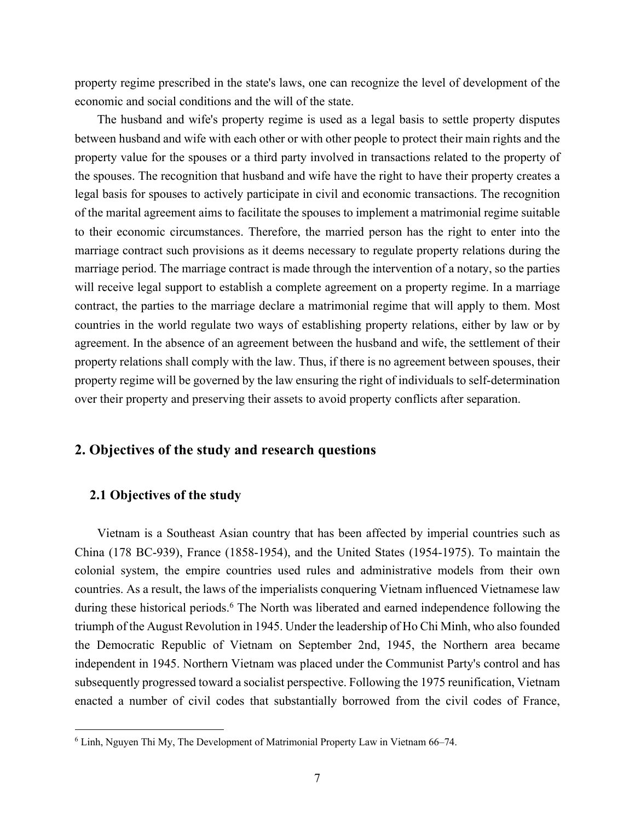property regime prescribed in the state's laws, one can recognize the level of development of the economic and social conditions and the will of the state.

The husband and wife's property regime is used as a legal basis to settle property disputes between husband and wife with each other or with other people to protect their main rights and the property value for the spouses or a third party involved in transactions related to the property of the spouses. The recognition that husband and wife have the right to have their property creates a legal basis for spouses to actively participate in civil and economic transactions. The recognition of the marital agreement aims to facilitate the spouses to implement a matrimonial regime suitable to their economic circumstances. Therefore, the married person has the right to enter into the marriage contract such provisions as it deems necessary to regulate property relations during the marriage period. The marriage contract is made through the intervention of a notary, so the parties will receive legal support to establish a complete agreement on a property regime. In a marriage contract, the parties to the marriage declare a matrimonial regime that will apply to them. Most countries in the world regulate two ways of establishing property relations, either by law or by agreement. In the absence of an agreement between the husband and wife, the settlement of their property relations shall comply with the law. Thus, if there is no agreement between spouses, their property regime will be governed by the law ensuring the right of individuals to self-determination over their property and preserving their assets to avoid property conflicts after separation.

## **2. Objectives of the study and research questions**

#### **2.1 Objectives of the study**

Vietnam is a Southeast Asian country that has been affected by imperial countries such as China (178 BC-939), France (1858-1954), and the United States (1954-1975). To maintain the colonial system, the empire countries used rules and administrative models from their own countries. As a result, the laws of the imperialists conquering Vietnam influenced Vietnamese law during these historical periods.<sup>6</sup> The North was liberated and earned independence following the triumph of the August Revolution in 1945. Under the leadership of Ho Chi Minh, who also founded the Democratic Republic of Vietnam on September 2nd, 1945, the Northern area became independent in 1945. Northern Vietnam was placed under the Communist Party's control and has subsequently progressed toward a socialist perspective. Following the 1975 reunification, Vietnam enacted a number of civil codes that substantially borrowed from the civil codes of France,

<sup>6</sup> Linh, Nguyen Thi My, The Development of Matrimonial Property Law in Vietnam 66–74.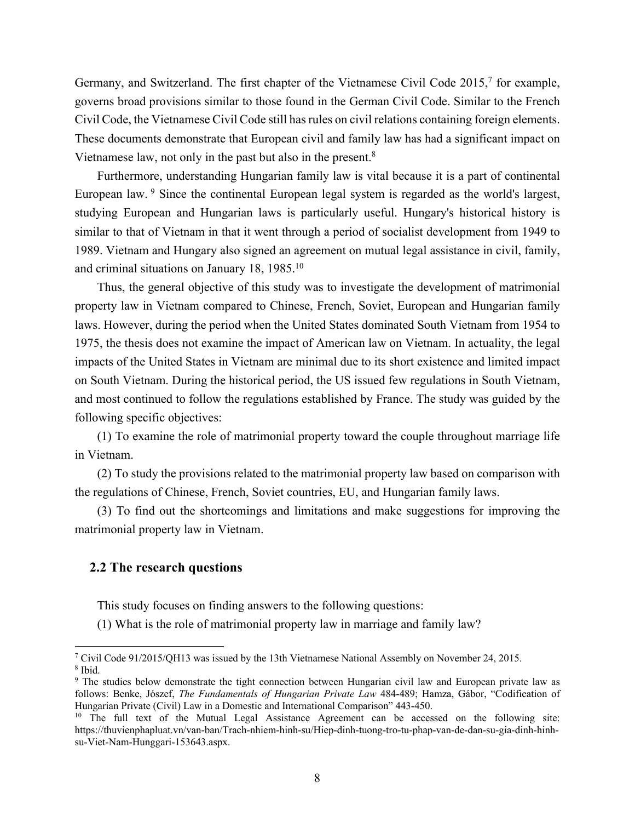Germany, and Switzerland. The first chapter of the Vietnamese Civil Code  $2015<sup>7</sup>$  for example, governs broad provisions similar to those found in the German Civil Code. Similar to the French Civil Code, the Vietnamese Civil Code still has rules on civil relations containing foreign elements. These documents demonstrate that European civil and family law has had a significant impact on Vietnamese law, not only in the past but also in the present.<sup>8</sup>

Furthermore, understanding Hungarian family law is vital because it is a part of continental European law. <sup>9</sup> Since the continental European legal system is regarded as the world's largest, studying European and Hungarian laws is particularly useful. Hungary's historical history is similar to that of Vietnam in that it went through a period of socialist development from 1949 to 1989. Vietnam and Hungary also signed an agreement on mutual legal assistance in civil, family, and criminal situations on January 18, 1985.10

Thus, the general objective of this study was to investigate the development of matrimonial property law in Vietnam compared to Chinese, French, Soviet, European and Hungarian family laws. However, during the period when the United States dominated South Vietnam from 1954 to 1975, the thesis does not examine the impact of American law on Vietnam. In actuality, the legal impacts of the United States in Vietnam are minimal due to its short existence and limited impact on South Vietnam. During the historical period, the US issued few regulations in South Vietnam, and most continued to follow the regulations established by France. The study was guided by the following specific objectives:

(1) To examine the role of matrimonial property toward the couple throughout marriage life in Vietnam.

(2) To study the provisions related to the matrimonial property law based on comparison with the regulations of Chinese, French, Soviet countries, EU, and Hungarian family laws.

(3) To find out the shortcomings and limitations and make suggestions for improving the matrimonial property law in Vietnam.

#### **2.2 The research questions**

This study focuses on finding answers to the following questions:

(1) What is the role of matrimonial property law in marriage and family law?

<sup>&</sup>lt;sup>7</sup> Civil Code 91/2015/OH13 was issued by the 13th Vietnamese National Assembly on November 24, 2015. <sup>8</sup> Ibid.

<sup>&</sup>lt;sup>9</sup> The studies below demonstrate the tight connection between Hungarian civil law and European private law as follows: Benke, Jószef, *The Fundamentals of Hungarian Private Law* 484-489; Hamza, Gábor, "Codification of Hungarian Private (Civil) Law in a Domestic and International Comparison" 443-450.

<sup>&</sup>lt;sup>10</sup> The full text of the Mutual Legal Assistance Agreement can be accessed on the following site: https://thuvienphapluat.vn/van-ban/Trach-nhiem-hinh-su/Hiep-dinh-tuong-tro-tu-phap-van-de-dan-su-gia-dinh-hinhsu-Viet-Nam-Hunggari-153643.aspx.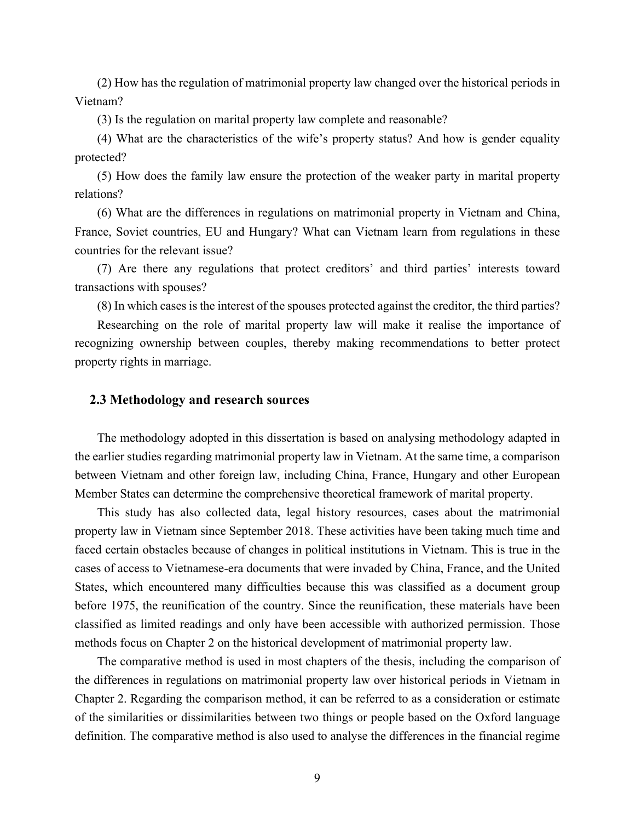(2) How has the regulation of matrimonial property law changed over the historical periods in Vietnam?

(3) Is the regulation on marital property law complete and reasonable?

(4) What are the characteristics of the wife's property status? And how is gender equality protected?

(5) How does the family law ensure the protection of the weaker party in marital property relations?

(6) What are the differences in regulations on matrimonial property in Vietnam and China, France, Soviet countries, EU and Hungary? What can Vietnam learn from regulations in these countries for the relevant issue?

(7) Are there any regulations that protect creditors' and third parties' interests toward transactions with spouses?

(8) In which cases is the interest of the spouses protected against the creditor, the third parties?

Researching on the role of marital property law will make it realise the importance of recognizing ownership between couples, thereby making recommendations to better protect property rights in marriage.

#### **2.3 Methodology and research sources**

The methodology adopted in this dissertation is based on analysing methodology adapted in the earlier studies regarding matrimonial property law in Vietnam. At the same time, a comparison between Vietnam and other foreign law, including China, France, Hungary and other European Member States can determine the comprehensive theoretical framework of marital property.

This study has also collected data, legal history resources, cases about the matrimonial property law in Vietnam since September 2018. These activities have been taking much time and faced certain obstacles because of changes in political institutions in Vietnam. This is true in the cases of access to Vietnamese-era documents that were invaded by China, France, and the United States, which encountered many difficulties because this was classified as a document group before 1975, the reunification of the country. Since the reunification, these materials have been classified as limited readings and only have been accessible with authorized permission. Those methods focus on Chapter 2 on the historical development of matrimonial property law.

The comparative method is used in most chapters of the thesis, including the comparison of the differences in regulations on matrimonial property law over historical periods in Vietnam in Chapter 2. Regarding the comparison method, it can be referred to as a consideration or estimate of the similarities or dissimilarities between two things or people based on the Oxford language definition. The comparative method is also used to analyse the differences in the financial regime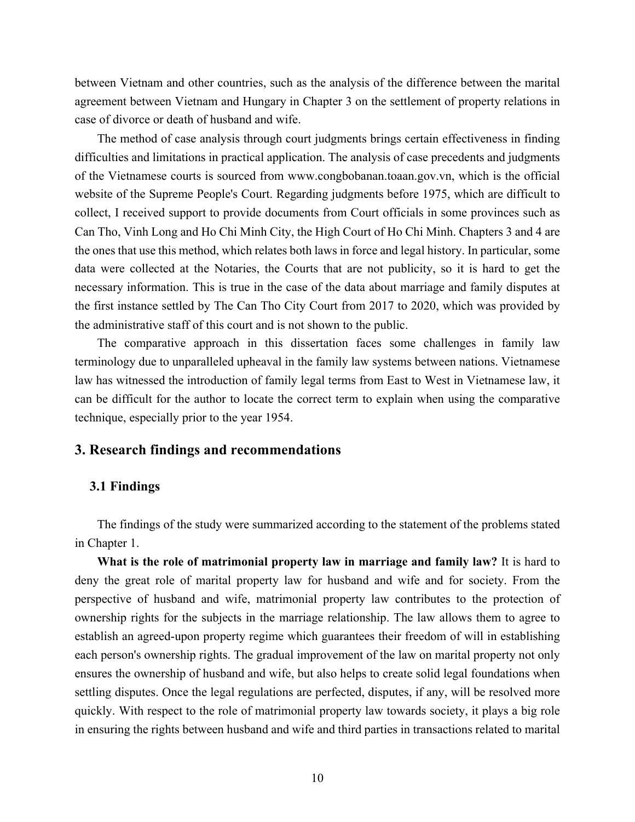between Vietnam and other countries, such as the analysis of the difference between the marital agreement between Vietnam and Hungary in Chapter 3 on the settlement of property relations in case of divorce or death of husband and wife.

The method of case analysis through court judgments brings certain effectiveness in finding difficulties and limitations in practical application. The analysis of case precedents and judgments of the Vietnamese courts is sourced from www.congbobanan.toaan.gov.vn, which is the official website of the Supreme People's Court. Regarding judgments before 1975, which are difficult to collect, I received support to provide documents from Court officials in some provinces such as Can Tho, Vinh Long and Ho Chi Minh City, the High Court of Ho Chi Minh. Chapters 3 and 4 are the ones that use this method, which relates both laws in force and legal history. In particular, some data were collected at the Notaries, the Courts that are not publicity, so it is hard to get the necessary information. This is true in the case of the data about marriage and family disputes at the first instance settled by The Can Tho City Court from 2017 to 2020, which was provided by the administrative staff of this court and is not shown to the public.

The comparative approach in this dissertation faces some challenges in family law terminology due to unparalleled upheaval in the family law systems between nations. Vietnamese law has witnessed the introduction of family legal terms from East to West in Vietnamese law, it can be difficult for the author to locate the correct term to explain when using the comparative technique, especially prior to the year 1954.

#### **3. Research findings and recommendations**

#### **3.1 Findings**

The findings of the study were summarized according to the statement of the problems stated in Chapter 1.

**What is the role of matrimonial property law in marriage and family law?** It is hard to deny the great role of marital property law for husband and wife and for society. From the perspective of husband and wife, matrimonial property law contributes to the protection of ownership rights for the subjects in the marriage relationship. The law allows them to agree to establish an agreed-upon property regime which guarantees their freedom of will in establishing each person's ownership rights. The gradual improvement of the law on marital property not only ensures the ownership of husband and wife, but also helps to create solid legal foundations when settling disputes. Once the legal regulations are perfected, disputes, if any, will be resolved more quickly. With respect to the role of matrimonial property law towards society, it plays a big role in ensuring the rights between husband and wife and third parties in transactions related to marital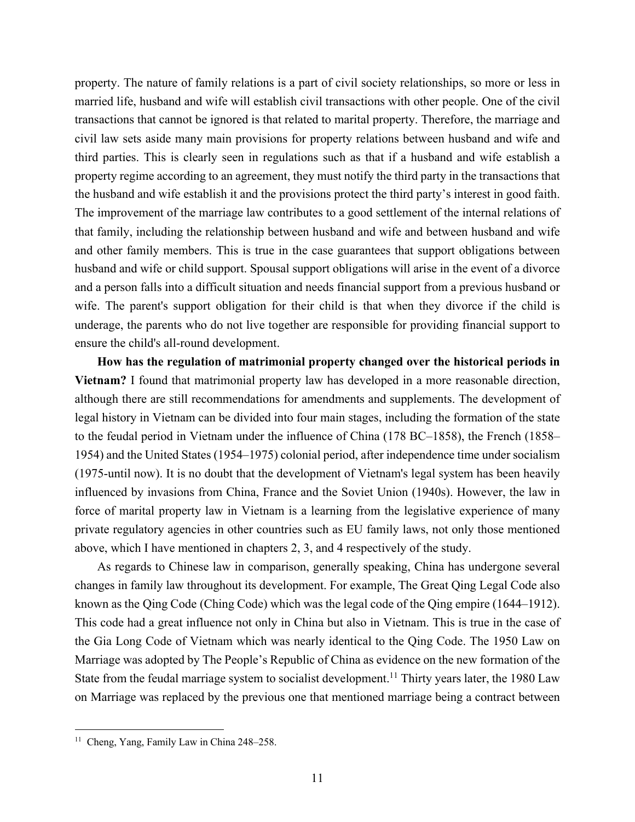property. The nature of family relations is a part of civil society relationships, so more or less in married life, husband and wife will establish civil transactions with other people. One of the civil transactions that cannot be ignored is that related to marital property. Therefore, the marriage and civil law sets aside many main provisions for property relations between husband and wife and third parties. This is clearly seen in regulations such as that if a husband and wife establish a property regime according to an agreement, they must notify the third party in the transactions that the husband and wife establish it and the provisions protect the third party's interest in good faith. The improvement of the marriage law contributes to a good settlement of the internal relations of that family, including the relationship between husband and wife and between husband and wife and other family members. This is true in the case guarantees that support obligations between husband and wife or child support. Spousal support obligations will arise in the event of a divorce and a person falls into a difficult situation and needs financial support from a previous husband or wife. The parent's support obligation for their child is that when they divorce if the child is underage, the parents who do not live together are responsible for providing financial support to ensure the child's all-round development.

**How has the regulation of matrimonial property changed over the historical periods in Vietnam?** I found that matrimonial property law has developed in a more reasonable direction, although there are still recommendations for amendments and supplements. The development of legal history in Vietnam can be divided into four main stages, including the formation of the state to the feudal period in Vietnam under the influence of China (178 BC–1858), the French (1858– 1954) and the United States (1954–1975) colonial period, after independence time under socialism (1975-until now). It is no doubt that the development of Vietnam's legal system has been heavily influenced by invasions from China, France and the Soviet Union (1940s). However, the law in force of marital property law in Vietnam is a learning from the legislative experience of many private regulatory agencies in other countries such as EU family laws, not only those mentioned above, which I have mentioned in chapters 2, 3, and 4 respectively of the study.

As regards to Chinese law in comparison, generally speaking, China has undergone several changes in family law throughout its development. For example, The Great Qing Legal Code also known as the Qing Code (Ching Code) which was the legal code of the Qing empire (1644–1912). This code had a great influence not only in China but also in Vietnam. This is true in the case of the Gia Long Code of Vietnam which was nearly identical to the Qing Code. The 1950 Law on Marriage was adopted by The People's Republic of China as evidence on the new formation of the State from the feudal marriage system to socialist development.<sup>11</sup> Thirty years later, the 1980 Law on Marriage was replaced by the previous one that mentioned marriage being a contract between

<sup>&</sup>lt;sup>11</sup> Cheng, Yang, Family Law in China 248–258.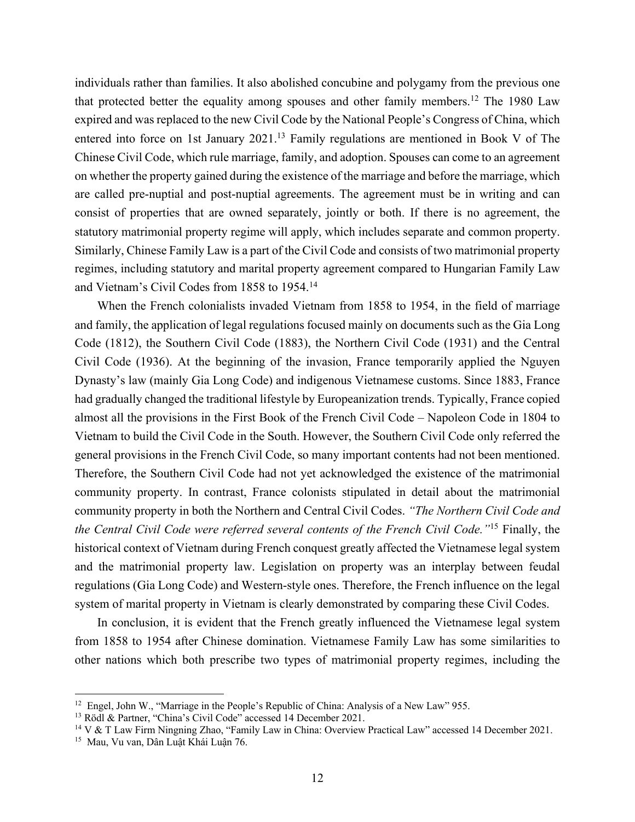individuals rather than families. It also abolished concubine and polygamy from the previous one that protected better the equality among spouses and other family members.12 The 1980 Law expired and was replaced to the new Civil Code by the National People's Congress of China, which entered into force on 1st January 2021.<sup>13</sup> Family regulations are mentioned in Book V of The Chinese Civil Code, which rule marriage, family, and adoption. Spouses can come to an agreement on whether the property gained during the existence of the marriage and before the marriage, which are called pre-nuptial and post-nuptial agreements. The agreement must be in writing and can consist of properties that are owned separately, jointly or both. If there is no agreement, the statutory matrimonial property regime will apply, which includes separate and common property. Similarly, Chinese Family Law is a part of the Civil Code and consists of two matrimonial property regimes, including statutory and marital property agreement compared to Hungarian Family Law and Vietnam's Civil Codes from 1858 to 1954.14

When the French colonialists invaded Vietnam from 1858 to 1954, in the field of marriage and family, the application of legal regulations focused mainly on documents such as the Gia Long Code (1812), the Southern Civil Code (1883), the Northern Civil Code (1931) and the Central Civil Code (1936). At the beginning of the invasion, France temporarily applied the Nguyen Dynasty's law (mainly Gia Long Code) and indigenous Vietnamese customs. Since 1883, France had gradually changed the traditional lifestyle by Europeanization trends. Typically, France copied almost all the provisions in the First Book of the French Civil Code – Napoleon Code in 1804 to Vietnam to build the Civil Code in the South. However, the Southern Civil Code only referred the general provisions in the French Civil Code, so many important contents had not been mentioned. Therefore, the Southern Civil Code had not yet acknowledged the existence of the matrimonial community property. In contrast, France colonists stipulated in detail about the matrimonial community property in both the Northern and Central Civil Codes. *"The Northern Civil Code and the Central Civil Code were referred several contents of the French Civil Code."*<sup>15</sup> Finally, the historical context of Vietnam during French conquest greatly affected the Vietnamese legal system and the matrimonial property law. Legislation on property was an interplay between feudal regulations (Gia Long Code) and Western-style ones. Therefore, the French influence on the legal system of marital property in Vietnam is clearly demonstrated by comparing these Civil Codes.

In conclusion, it is evident that the French greatly influenced the Vietnamese legal system from 1858 to 1954 after Chinese domination. Vietnamese Family Law has some similarities to other nations which both prescribe two types of matrimonial property regimes, including the

<sup>&</sup>lt;sup>12</sup> Engel, John W., "Marriage in the People's Republic of China: Analysis of a New Law" 955.

<sup>&</sup>lt;sup>13</sup> Rödl & Partner, "China's Civil Code" accessed 14 December 2021.<br><sup>14</sup> V & T Law Firm Ningning Zhao, "Family Law in China: Overview Practical Law" accessed 14 December 2021.

<sup>15</sup> Mau, Vu van, Dân Luật Khái Luận 76.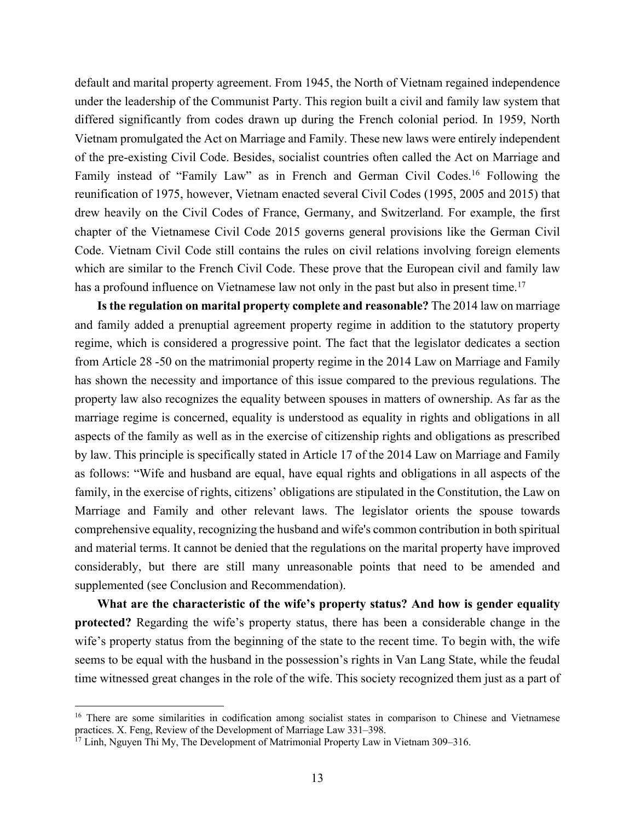default and marital property agreement. From 1945, the North of Vietnam regained independence under the leadership of the Communist Party. This region built a civil and family law system that differed significantly from codes drawn up during the French colonial period. In 1959, North Vietnam promulgated the Act on Marriage and Family. These new laws were entirely independent of the pre-existing Civil Code. Besides, socialist countries often called the Act on Marriage and Family instead of "Family Law" as in French and German Civil Codes.<sup>16</sup> Following the reunification of 1975, however, Vietnam enacted several Civil Codes (1995, 2005 and 2015) that drew heavily on the Civil Codes of France, Germany, and Switzerland. For example, the first chapter of the Vietnamese Civil Code 2015 governs general provisions like the German Civil Code. Vietnam Civil Code still contains the rules on civil relations involving foreign elements which are similar to the French Civil Code. These prove that the European civil and family law has a profound influence on Vietnamese law not only in the past but also in present time.<sup>17</sup>

**Is the regulation on marital property complete and reasonable?** The 2014 law on marriage and family added a prenuptial agreement property regime in addition to the statutory property regime, which is considered a progressive point. The fact that the legislator dedicates a section from Article 28 -50 on the matrimonial property regime in the 2014 Law on Marriage and Family has shown the necessity and importance of this issue compared to the previous regulations. The property law also recognizes the equality between spouses in matters of ownership. As far as the marriage regime is concerned, equality is understood as equality in rights and obligations in all aspects of the family as well as in the exercise of citizenship rights and obligations as prescribed by law. This principle is specifically stated in Article 17 of the 2014 Law on Marriage and Family as follows: "Wife and husband are equal, have equal rights and obligations in all aspects of the family, in the exercise of rights, citizens' obligations are stipulated in the Constitution, the Law on Marriage and Family and other relevant laws. The legislator orients the spouse towards comprehensive equality, recognizing the husband and wife's common contribution in both spiritual and material terms. It cannot be denied that the regulations on the marital property have improved considerably, but there are still many unreasonable points that need to be amended and supplemented (see Conclusion and Recommendation).

**What are the characteristic of the wife's property status? And how is gender equality protected?** Regarding the wife's property status, there has been a considerable change in the wife's property status from the beginning of the state to the recent time. To begin with, the wife seems to be equal with the husband in the possession's rights in Van Lang State, while the feudal time witnessed great changes in the role of the wife. This society recognized them just as a part of

<sup>&</sup>lt;sup>16</sup> There are some similarities in codification among socialist states in comparison to Chinese and Vietnamese practices. X. Feng, Review of the Development of Marriage Law 331–398.

 $17$  Linh, Nguyen Thi My, The Development of Matrimonial Property Law in Vietnam 309–316.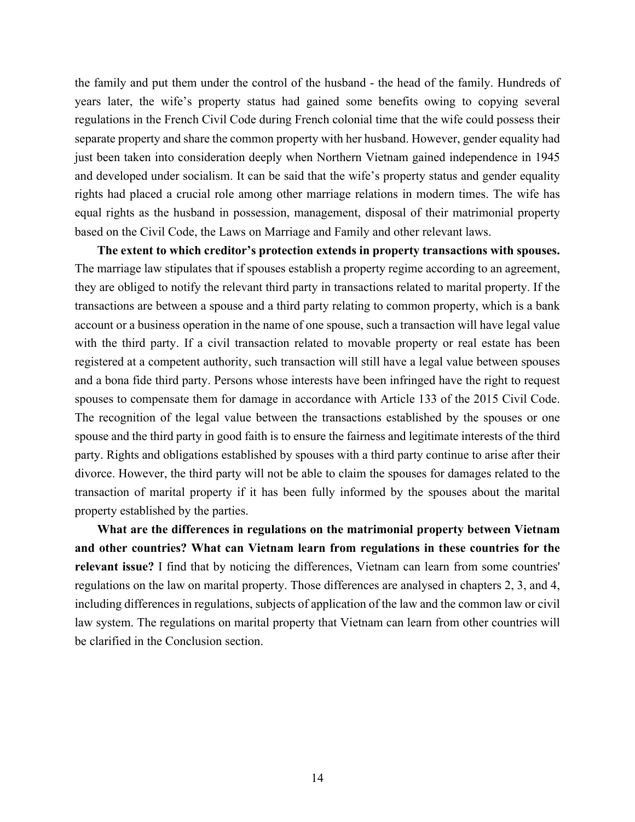the family and put them under the control of the husband - the head of the family. Hundreds of years later, the wife's property status had gained some benefits owing to copying several regulations in the French Civil Code during French colonial time that the wife could possess their separate property and share the common property with her husband. However, gender equality had just been taken into consideration deeply when Northern Vietnam gained independence in 1945 and developed under socialism. It can be said that the wife's property status and gender equality rights had placed a crucial role among other marriage relations in modern times. The wife has equal rights as the husband in possession, management, disposal of their matrimonial property based on the Civil Code, the Laws on Marriage and Family and other relevant laws.

**The extent to which creditor's protection extends in property transactions with spouses.** The marriage law stipulates that if spouses establish a property regime according to an agreement, they are obliged to notify the relevant third party in transactions related to marital property. If the transactions are between a spouse and a third party relating to common property, which is a bank account or a business operation in the name of one spouse, such a transaction will have legal value with the third party. If a civil transaction related to movable property or real estate has been registered at a competent authority, such transaction will still have a legal value between spouses and a bona fide third party. Persons whose interests have been infringed have the right to request spouses to compensate them for damage in accordance with Article 133 of the 2015 Civil Code. The recognition of the legal value between the transactions established by the spouses or one spouse and the third party in good faith is to ensure the fairness and legitimate interests of the third party. Rights and obligations established by spouses with a third party continue to arise after their divorce. However, the third party will not be able to claim the spouses for damages related to the transaction of marital property if it has been fully informed by the spouses about the marital property established by the parties.

**What are the differences in regulations on the matrimonial property between Vietnam and other countries? What can Vietnam learn from regulations in these countries for the relevant issue?** I find that by noticing the differences, Vietnam can learn from some countries' regulations on the law on marital property. Those differences are analysed in chapters 2, 3, and 4, including differences in regulations, subjects of application of the law and the common law or civil law system. The regulations on marital property that Vietnam can learn from other countries will be clarified in the Conclusion section.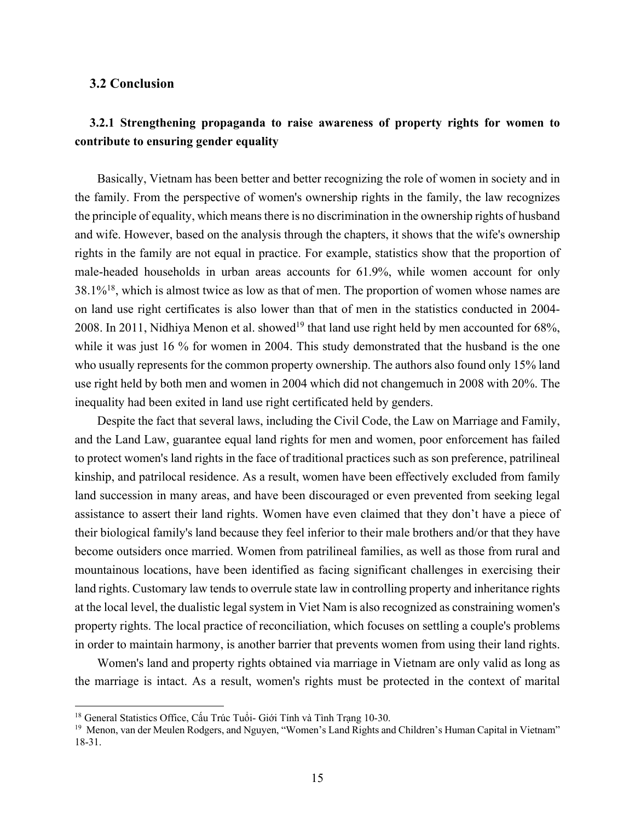#### **3.2 Conclusion**

## **3.2.1 Strengthening propaganda to raise awareness of property rights for women to contribute to ensuring gender equality**

Basically, Vietnam has been better and better recognizing the role of women in society and in the family. From the perspective of women's ownership rights in the family, the law recognizes the principle of equality, which means there is no discrimination in the ownership rights of husband and wife. However, based on the analysis through the chapters, it shows that the wife's ownership rights in the family are not equal in practice. For example, statistics show that the proportion of male-headed households in urban areas accounts for 61.9%, while women account for only  $38.1\%$ <sup>18</sup>, which is almost twice as low as that of men. The proportion of women whose names are on land use right certificates is also lower than that of men in the statistics conducted in 2004- 2008. In 2011, Nidhiya Menon et al. showed<sup>19</sup> that land use right held by men accounted for  $68\%$ , while it was just 16 % for women in 2004. This study demonstrated that the husband is the one who usually represents for the common property ownership. The authors also found only 15% land use right held by both men and women in 2004 which did not changemuch in 2008 with 20%. The inequality had been exited in land use right certificated held by genders.

Despite the fact that several laws, including the Civil Code, the Law on Marriage and Family, and the Land Law, guarantee equal land rights for men and women, poor enforcement has failed to protect women's land rights in the face of traditional practices such as son preference, patrilineal kinship, and patrilocal residence. As a result, women have been effectively excluded from family land succession in many areas, and have been discouraged or even prevented from seeking legal assistance to assert their land rights. Women have even claimed that they don't have a piece of their biological family's land because they feel inferior to their male brothers and/or that they have become outsiders once married. Women from patrilineal families, as well as those from rural and mountainous locations, have been identified as facing significant challenges in exercising their land rights. Customary law tends to overrule state law in controlling property and inheritance rights at the local level, the dualistic legal system in Viet Nam is also recognized as constraining women's property rights. The local practice of reconciliation, which focuses on settling a couple's problems in order to maintain harmony, is another barrier that prevents women from using their land rights.

Women's land and property rights obtained via marriage in Vietnam are only valid as long as the marriage is intact. As a result, women's rights must be protected in the context of marital

<sup>&</sup>lt;sup>18</sup> General Statistics Office, Cấu Trúc Tuổi- Giới Tính và Tình Trạng 10-30.

<sup>&</sup>lt;sup>19</sup> Menon, van der Meulen Rodgers, and Nguyen, "Women's Land Rights and Children's Human Capital in Vietnam" 18-31.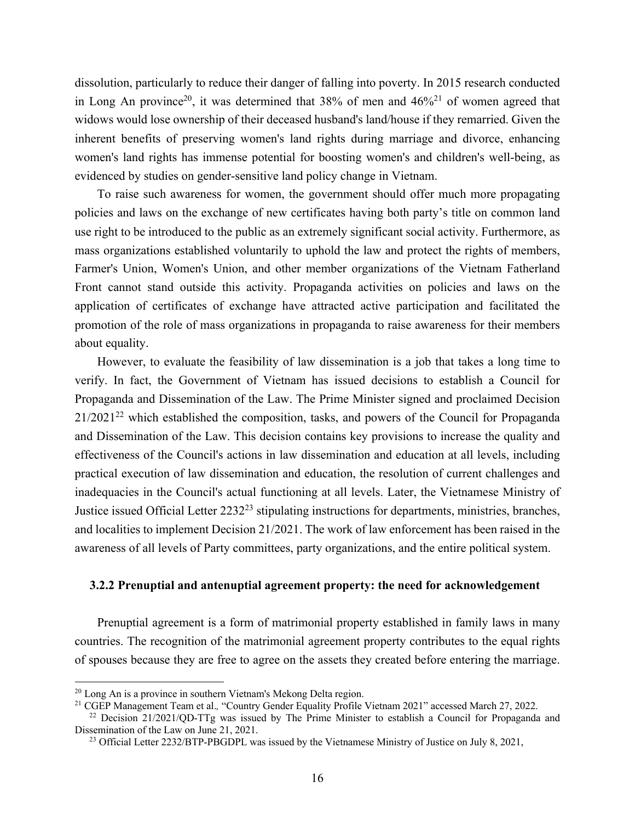dissolution, particularly to reduce their danger of falling into poverty. In 2015 research conducted in Long An province<sup>20</sup>, it was determined that  $38\%$  of men and  $46\%$ <sup>21</sup> of women agreed that widows would lose ownership of their deceased husband's land/house if they remarried. Given the inherent benefits of preserving women's land rights during marriage and divorce, enhancing women's land rights has immense potential for boosting women's and children's well-being, as evidenced by studies on gender-sensitive land policy change in Vietnam.

To raise such awareness for women, the government should offer much more propagating policies and laws on the exchange of new certificates having both party's title on common land use right to be introduced to the public as an extremely significant social activity. Furthermore, as mass organizations established voluntarily to uphold the law and protect the rights of members, Farmer's Union, Women's Union, and other member organizations of the Vietnam Fatherland Front cannot stand outside this activity. Propaganda activities on policies and laws on the application of certificates of exchange have attracted active participation and facilitated the promotion of the role of mass organizations in propaganda to raise awareness for their members about equality.

However, to evaluate the feasibility of law dissemination is a job that takes a long time to verify. In fact, the Government of Vietnam has issued decisions to establish a Council for Propaganda and Dissemination of the Law. The Prime Minister signed and proclaimed Decision 21/2021<sup>22</sup> which established the composition, tasks, and powers of the Council for Propaganda and Dissemination of the Law. This decision contains key provisions to increase the quality and effectiveness of the Council's actions in law dissemination and education at all levels, including practical execution of law dissemination and education, the resolution of current challenges and inadequacies in the Council's actual functioning at all levels. Later, the Vietnamese Ministry of Justice issued Official Letter 223223 stipulating instructions for departments, ministries, branches, and localities to implement Decision 21/2021. The work of law enforcement has been raised in the awareness of all levels of Party committees, party organizations, and the entire political system.

#### **3.2.2 Prenuptial and antenuptial agreement property: the need for acknowledgement**

Prenuptial agreement is a form of matrimonial property established in family laws in many countries. The recognition of the matrimonial agreement property contributes to the equal rights of spouses because they are free to agree on the assets they created before entering the marriage.

 $20$  Long An is a province in southern Vietnam's Mekong Delta region.

<sup>21</sup> CGEP Management Team et al.*,* "Country Gender Equality Profile Vietnam 2021" accessed March 27, 2022.

<sup>&</sup>lt;sup>22</sup> Decision 21/2021/QD-TTg was issued by The Prime Minister to establish a Council for Propaganda and Dissemination of the Law on June 21, 2021.

<sup>&</sup>lt;sup>23</sup> Official Letter 2232/BTP-PBGDPL was issued by the Vietnamese Ministry of Justice on July 8, 2021,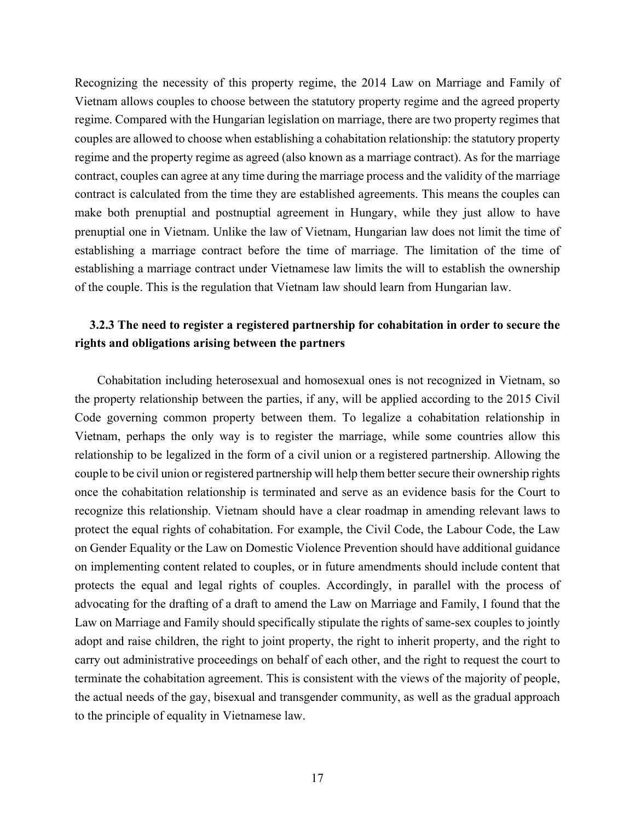Recognizing the necessity of this property regime, the 2014 Law on Marriage and Family of Vietnam allows couples to choose between the statutory property regime and the agreed property regime. Compared with the Hungarian legislation on marriage, there are two property regimes that couples are allowed to choose when establishing a cohabitation relationship: the statutory property regime and the property regime as agreed (also known as a marriage contract). As for the marriage contract, couples can agree at any time during the marriage process and the validity of the marriage contract is calculated from the time they are established agreements. This means the couples can make both prenuptial and postnuptial agreement in Hungary, while they just allow to have prenuptial one in Vietnam. Unlike the law of Vietnam, Hungarian law does not limit the time of establishing a marriage contract before the time of marriage. The limitation of the time of establishing a marriage contract under Vietnamese law limits the will to establish the ownership of the couple. This is the regulation that Vietnam law should learn from Hungarian law.

## **3.2.3 The need to register a registered partnership for cohabitation in order to secure the rights and obligations arising between the partners**

Cohabitation including heterosexual and homosexual ones is not recognized in Vietnam, so the property relationship between the parties, if any, will be applied according to the 2015 Civil Code governing common property between them. To legalize a cohabitation relationship in Vietnam, perhaps the only way is to register the marriage, while some countries allow this relationship to be legalized in the form of a civil union or a registered partnership. Allowing the couple to be civil union or registered partnership will help them better secure their ownership rights once the cohabitation relationship is terminated and serve as an evidence basis for the Court to recognize this relationship. Vietnam should have a clear roadmap in amending relevant laws to protect the equal rights of cohabitation. For example, the Civil Code, the Labour Code, the Law on Gender Equality or the Law on Domestic Violence Prevention should have additional guidance on implementing content related to couples, or in future amendments should include content that protects the equal and legal rights of couples. Accordingly, in parallel with the process of advocating for the drafting of a draft to amend the Law on Marriage and Family, I found that the Law on Marriage and Family should specifically stipulate the rights of same-sex couples to jointly adopt and raise children, the right to joint property, the right to inherit property, and the right to carry out administrative proceedings on behalf of each other, and the right to request the court to terminate the cohabitation agreement. This is consistent with the views of the majority of people, the actual needs of the gay, bisexual and transgender community, as well as the gradual approach to the principle of equality in Vietnamese law.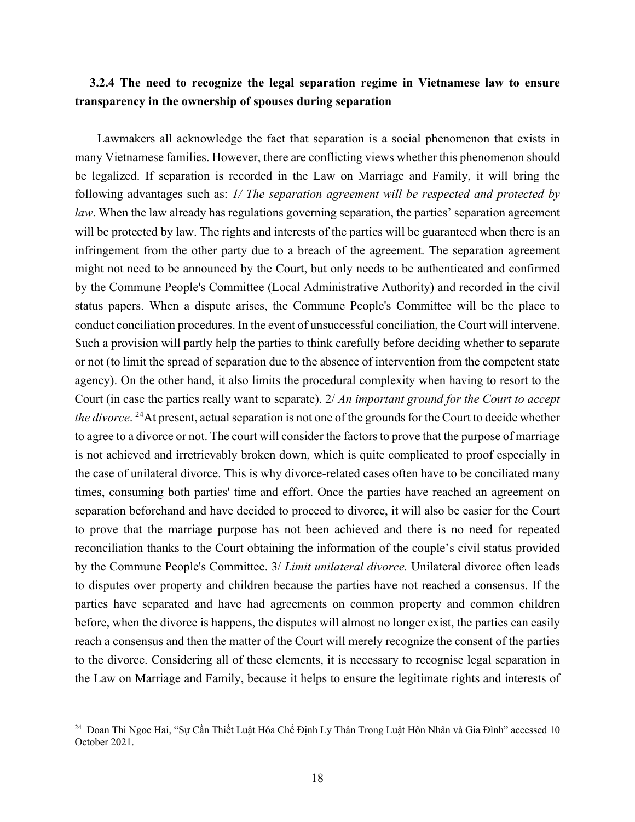## **3.2.4 The need to recognize the legal separation regime in Vietnamese law to ensure transparency in the ownership of spouses during separation**

Lawmakers all acknowledge the fact that separation is a social phenomenon that exists in many Vietnamese families. However, there are conflicting views whether this phenomenon should be legalized. If separation is recorded in the Law on Marriage and Family, it will bring the following advantages such as: *1/ The separation agreement will be respected and protected by law*. When the law already has regulations governing separation, the parties' separation agreement will be protected by law. The rights and interests of the parties will be guaranteed when there is an infringement from the other party due to a breach of the agreement. The separation agreement might not need to be announced by the Court, but only needs to be authenticated and confirmed by the Commune People's Committee (Local Administrative Authority) and recorded in the civil status papers. When a dispute arises, the Commune People's Committee will be the place to conduct conciliation procedures. In the event of unsuccessful conciliation, the Court will intervene. Such a provision will partly help the parties to think carefully before deciding whether to separate or not (to limit the spread of separation due to the absence of intervention from the competent state agency). On the other hand, it also limits the procedural complexity when having to resort to the Court (in case the parties really want to separate). 2/ *An important ground for the Court to accept the divorce*. <sup>24</sup>At present, actual separation is not one of the grounds for the Court to decide whether to agree to a divorce or not. The court will consider the factors to prove that the purpose of marriage is not achieved and irretrievably broken down, which is quite complicated to proof especially in the case of unilateral divorce. This is why divorce-related cases often have to be conciliated many times, consuming both parties' time and effort. Once the parties have reached an agreement on separation beforehand and have decided to proceed to divorce, it will also be easier for the Court to prove that the marriage purpose has not been achieved and there is no need for repeated reconciliation thanks to the Court obtaining the information of the couple's civil status provided by the Commune People's Committee. 3/ *Limit unilateral divorce.* Unilateral divorce often leads to disputes over property and children because the parties have not reached a consensus. If the parties have separated and have had agreements on common property and common children before, when the divorce is happens, the disputes will almost no longer exist, the parties can easily reach a consensus and then the matter of the Court will merely recognize the consent of the parties to the divorce. Considering all of these elements, it is necessary to recognise legal separation in the Law on Marriage and Family, because it helps to ensure the legitimate rights and interests of

<sup>24</sup> Doan Thi Ngoc Hai, "Sự Cần Thiết Luật Hóa Chế Định Ly Thân Trong Luật Hôn Nhân và Gia Đình" accessed 10 October 2021.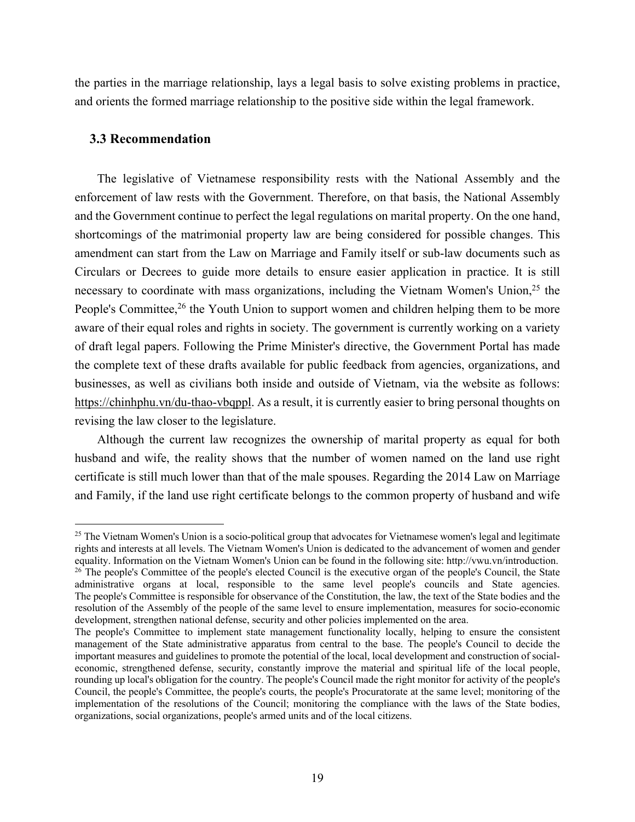the parties in the marriage relationship, lays a legal basis to solve existing problems in practice, and orients the formed marriage relationship to the positive side within the legal framework.

#### **3.3 Recommendation**

The legislative of Vietnamese responsibility rests with the National Assembly and the enforcement of law rests with the Government. Therefore, on that basis, the National Assembly and the Government continue to perfect the legal regulations on marital property. On the one hand, shortcomings of the matrimonial property law are being considered for possible changes. This amendment can start from the Law on Marriage and Family itself or sub-law documents such as Circulars or Decrees to guide more details to ensure easier application in practice. It is still necessary to coordinate with mass organizations, including the Vietnam Women's Union,<sup>25</sup> the People's Committee,<sup>26</sup> the Youth Union to support women and children helping them to be more aware of their equal roles and rights in society. The government is currently working on a variety of draft legal papers. Following the Prime Minister's directive, the Government Portal has made the complete text of these drafts available for public feedback from agencies, organizations, and businesses, as well as civilians both inside and outside of Vietnam, via the website as follows: https://chinhphu.vn/du-thao-vbqppl. As a result, it is currently easier to bring personal thoughts on revising the law closer to the legislature.

Although the current law recognizes the ownership of marital property as equal for both husband and wife, the reality shows that the number of women named on the land use right certificate is still much lower than that of the male spouses. Regarding the 2014 Law on Marriage and Family, if the land use right certificate belongs to the common property of husband and wife

<sup>&</sup>lt;sup>25</sup> The Vietnam Women's Union is a socio-political group that advocates for Vietnamese women's legal and legitimate rights and interests at all levels. The Vietnam Women's Union is dedicated to the advancement of women and gender equality. Information on the Vietnam Women's Union can be found in the following site: http://vwu.vn/introduction. <sup>26</sup> The people's Committee of the people's elected Council is the executive organ of the people's Council, the State administrative organs at local, responsible to the same level people's councils and State agencies. The people's Committee is responsible for observance of the Constitution, the law, the text of the State bodies and the resolution of the Assembly of the people of the same level to ensure implementation, measures for socio-economic development, strengthen national defense, security and other policies implemented on the area.

The people's Committee to implement state management functionality locally, helping to ensure the consistent management of the State administrative apparatus from central to the base. The people's Council to decide the important measures and guidelines to promote the potential of the local, local development and construction of socialeconomic, strengthened defense, security, constantly improve the material and spiritual life of the local people, rounding up local's obligation for the country. The people's Council made the right monitor for activity of the people's Council, the people's Committee, the people's courts, the people's Procuratorate at the same level; monitoring of the implementation of the resolutions of the Council; monitoring the compliance with the laws of the State bodies, organizations, social organizations, people's armed units and of the local citizens.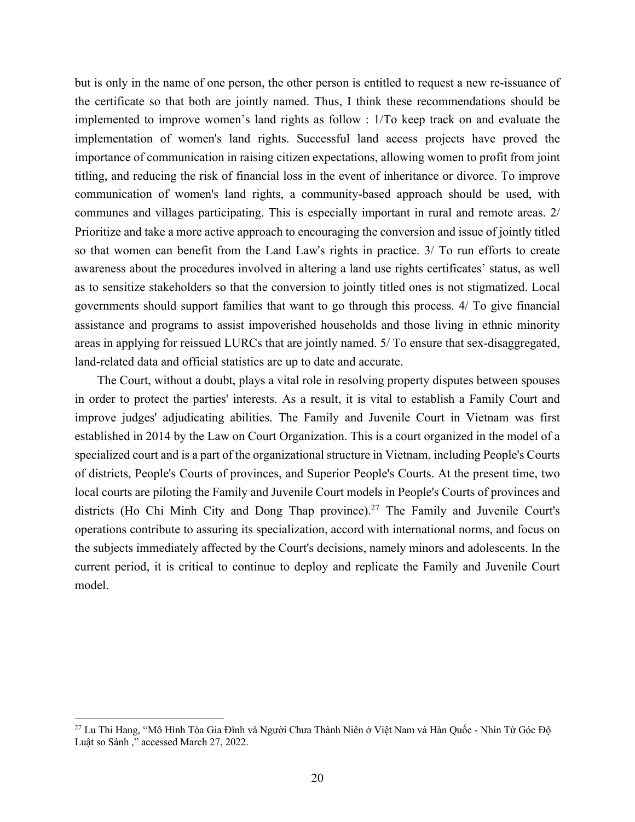but is only in the name of one person, the other person is entitled to request a new re-issuance of the certificate so that both are jointly named. Thus, I think these recommendations should be implemented to improve women's land rights as follow : 1/To keep track on and evaluate the implementation of women's land rights. Successful land access projects have proved the importance of communication in raising citizen expectations, allowing women to profit from joint titling, and reducing the risk of financial loss in the event of inheritance or divorce. To improve communication of women's land rights, a community-based approach should be used, with communes and villages participating. This is especially important in rural and remote areas. 2/ Prioritize and take a more active approach to encouraging the conversion and issue of jointly titled so that women can benefit from the Land Law's rights in practice. 3/ To run efforts to create awareness about the procedures involved in altering a land use rights certificates' status, as well as to sensitize stakeholders so that the conversion to jointly titled ones is not stigmatized. Local governments should support families that want to go through this process. 4/ To give financial assistance and programs to assist impoverished households and those living in ethnic minority areas in applying for reissued LURCs that are jointly named. 5/ To ensure that sex-disaggregated, land-related data and official statistics are up to date and accurate.

The Court, without a doubt, plays a vital role in resolving property disputes between spouses in order to protect the parties' interests. As a result, it is vital to establish a Family Court and improve judges' adjudicating abilities. The Family and Juvenile Court in Vietnam was first established in 2014 by the Law on Court Organization. This is a court organized in the model of a specialized court and is a part of the organizational structure in Vietnam, including People's Courts of districts, People's Courts of provinces, and Superior People's Courts. At the present time, two local courts are piloting the Family and Juvenile Court models in People's Courts of provinces and districts (Ho Chi Minh City and Dong Thap province).<sup>27</sup> The Family and Juvenile Court's operations contribute to assuring its specialization, accord with international norms, and focus on the subjects immediately affected by the Court's decisions, namely minors and adolescents. In the current period, it is critical to continue to deploy and replicate the Family and Juvenile Court model.

<sup>27</sup> Lu Thi Hang, "Mô Hình Tòa Gia Đình và Người Chưa Thành Niên ở Việt Nam và Hàn Quốc - Nhìn Từ Góc Độ Luật so Sánh ," accessed March 27, 2022.